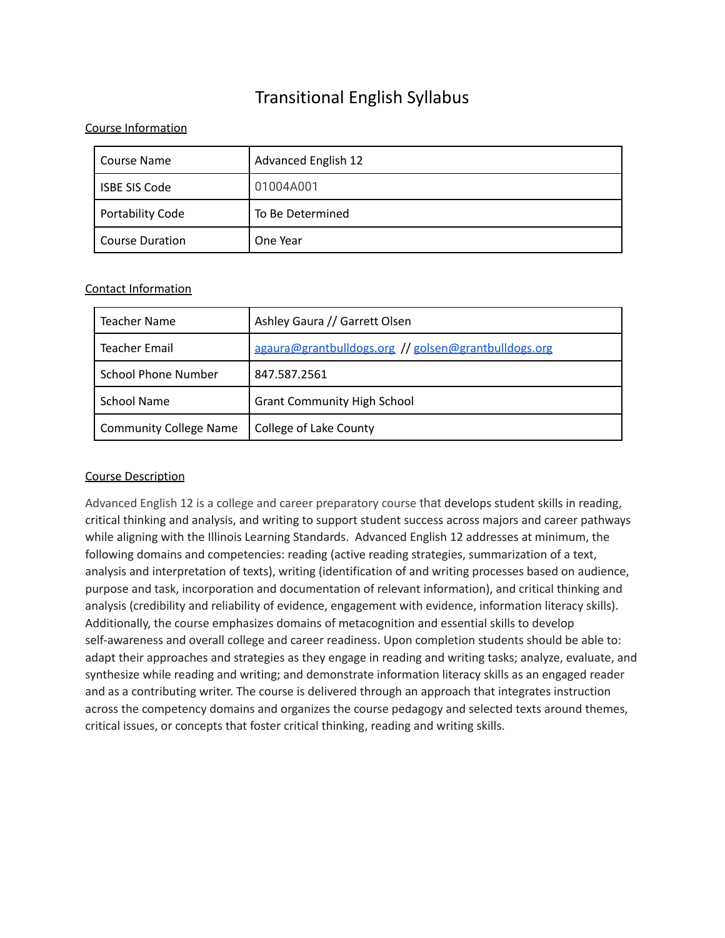# Transitional English Syllabus

## Course Information

| Course Name             | <b>Advanced English 12</b> |
|-------------------------|----------------------------|
| <b>ISBE SIS Code</b>    | 01004A001                  |
| <b>Portability Code</b> | To Be Determined           |
| Course Duration         | One Year                   |

## Contact Information

| Teacher Name                  | Ashley Gaura // Garrett Olsen                        |
|-------------------------------|------------------------------------------------------|
| <b>Teacher Email</b>          | agaura@grantbulldogs.org // golsen@grantbulldogs.org |
| <b>School Phone Number</b>    | 847.587.2561                                         |
| <b>School Name</b>            | <b>Grant Community High School</b>                   |
| <b>Community College Name</b> | College of Lake County                               |

## Course Description

Advanced English 12 is a college and career preparatory course that develops student skills in reading, critical thinking and analysis, and writing to support student success across majors and career pathways while aligning with the Illinois Learning Standards. Advanced English 12 addresses at minimum, the following domains and competencies: reading (active reading strategies, summarization of a text, analysis and interpretation of texts), writing (identification of and writing processes based on audience, purpose and task, incorporation and documentation of relevant information), and critical thinking and analysis (credibility and reliability of evidence, engagement with evidence, information literacy skills). Additionally, the course emphasizes domains of metacognition and essential skills to develop self-awareness and overall college and career readiness. Upon completion students should be able to: adapt their approaches and strategies as they engage in reading and writing tasks; analyze, evaluate, and synthesize while reading and writing; and demonstrate information literacy skills as an engaged reader and as a contributing writer. The course is delivered through an approach that integrates instruction across the competency domains and organizes the course pedagogy and selected texts around themes, critical issues, or concepts that foster critical thinking, reading and writing skills.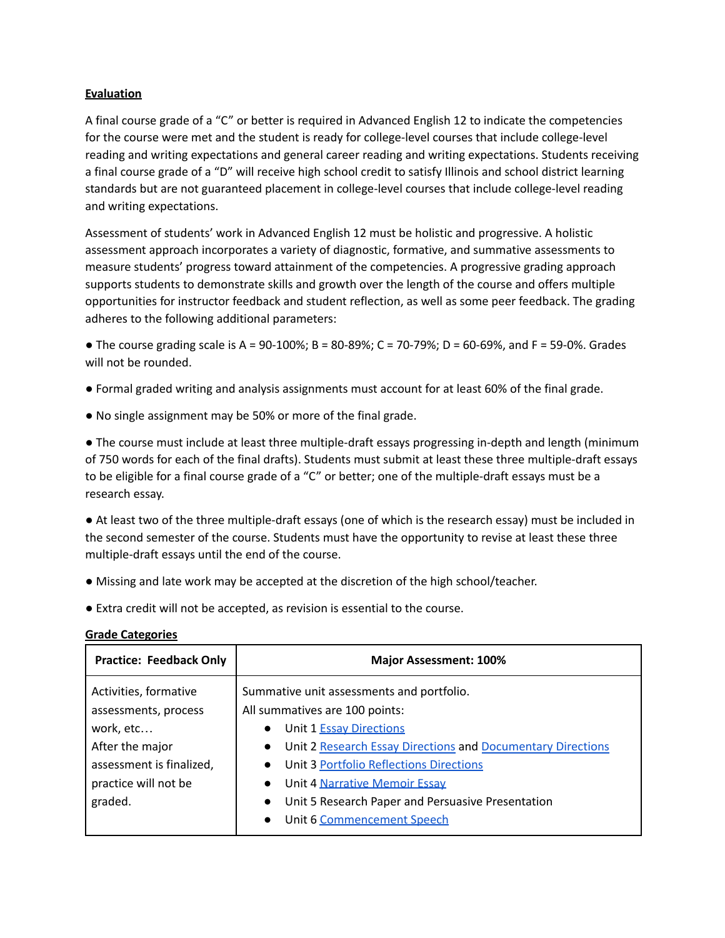#### **Evaluation**

A final course grade of a "C" or better is required in Advanced English 12 to indicate the competencies for the course were met and the student is ready for college-level courses that include college-level reading and writing expectations and general career reading and writing expectations. Students receiving a final course grade of a "D" will receive high school credit to satisfy Illinois and school district learning standards but are not guaranteed placement in college-level courses that include college-level reading and writing expectations.

Assessment of students' work in Advanced English 12 must be holistic and progressive. A holistic assessment approach incorporates a variety of diagnostic, formative, and summative assessments to measure students' progress toward attainment of the competencies. A progressive grading approach supports students to demonstrate skills and growth over the length of the course and offers multiple opportunities for instructor feedback and student reflection, as well as some peer feedback. The grading adheres to the following additional parameters:

• The course grading scale is A =  $90-100\%$ ; B =  $80-89\%$ ; C =  $70-79\%$ ; D =  $60-69\%$ , and F = 59-0%. Grades will not be rounded.

- Formal graded writing and analysis assignments must account for at least 60% of the final grade.
- No single assignment may be 50% or more of the final grade.

● The course must include at least three multiple-draft essays progressing in-depth and length (minimum of 750 words for each of the final drafts). Students must submit at least these three multiple-draft essays to be eligible for a final course grade of a "C" or better; one of the multiple-draft essays must be a research essay.

● At least two of the three multiple-draft essays (one of which is the research essay) must be included in the second semester of the course. Students must have the opportunity to revise at least these three multiple-draft essays until the end of the course.

- Missing and late work may be accepted at the discretion of the high school/teacher.
- Extra credit will not be accepted, as revision is essential to the course.

| <b>Practice: Feedback Only</b>                                                                                                               | <b>Major Assessment: 100%</b>                                                                                                                                                                                                                                                                                                                                                                                             |  |
|----------------------------------------------------------------------------------------------------------------------------------------------|---------------------------------------------------------------------------------------------------------------------------------------------------------------------------------------------------------------------------------------------------------------------------------------------------------------------------------------------------------------------------------------------------------------------------|--|
| Activities, formative<br>assessments, process<br>work, etc<br>After the major<br>assessment is finalized,<br>practice will not be<br>graded. | Summative unit assessments and portfolio.<br>All summatives are 100 points:<br>Unit 1 <b>Essay Directions</b><br>$\bullet$<br>Unit 2 Research Essay Directions and Documentary Directions<br>$\bullet$<br>Unit 3 Portfolio Reflections Directions<br>$\bullet$<br>Unit 4 Narrative Memoir Essay<br>$\bullet$<br>Unit 5 Research Paper and Persuasive Presentation<br>$\bullet$<br>Unit 6 Commencement Speech<br>$\bullet$ |  |

#### **Grade Categories**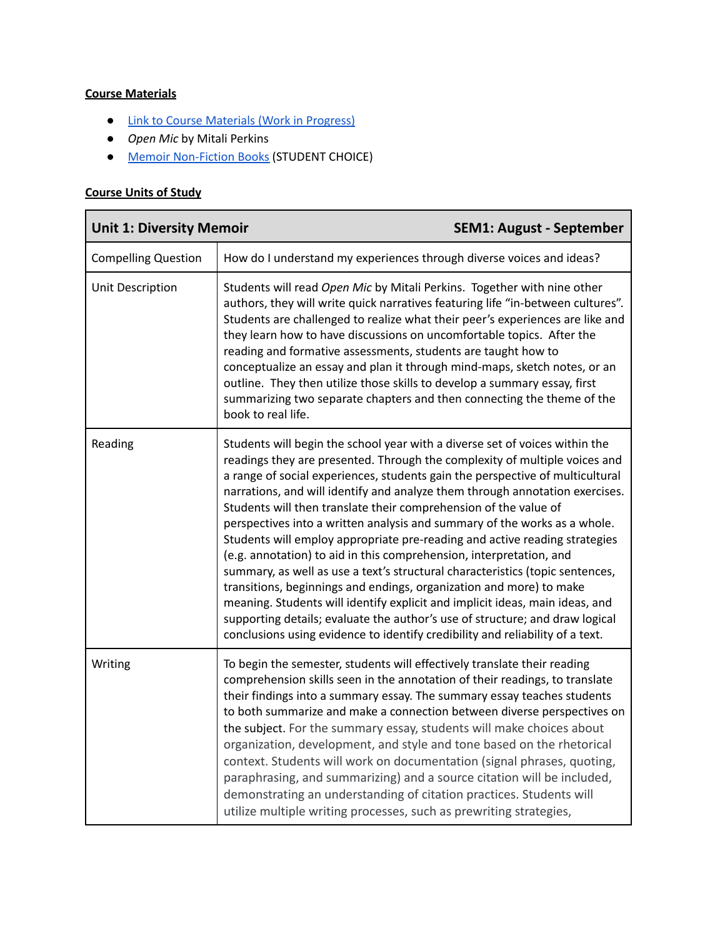# **Course Materials**

- Link to Course [Materials](https://drive.google.com/drive/folders/12ImKmAYiV_PgZQ4OnF-z5aPk8YW3zFXy?usp=sharing) (Work in Progress)
- *Open Mic* by Mitali Perkins
- Memoir [Non-Fiction](https://libguides.grantbulldogs.org/c.php?g=360246&p=2432890) Books (STUDENT CHOICE)

# **Course Units of Study**

| <b>Unit 1: Diversity Memoir</b> |                                                                                                                                                                                                                                                                                                                                                                                                                                                                                                                                                                                                                                                                                                                                                                                                                                                                                                                                                                                                                                           | <b>SEM1: August - September</b> |
|---------------------------------|-------------------------------------------------------------------------------------------------------------------------------------------------------------------------------------------------------------------------------------------------------------------------------------------------------------------------------------------------------------------------------------------------------------------------------------------------------------------------------------------------------------------------------------------------------------------------------------------------------------------------------------------------------------------------------------------------------------------------------------------------------------------------------------------------------------------------------------------------------------------------------------------------------------------------------------------------------------------------------------------------------------------------------------------|---------------------------------|
| <b>Compelling Question</b>      | How do I understand my experiences through diverse voices and ideas?                                                                                                                                                                                                                                                                                                                                                                                                                                                                                                                                                                                                                                                                                                                                                                                                                                                                                                                                                                      |                                 |
| Unit Description                | Students will read Open Mic by Mitali Perkins. Together with nine other<br>authors, they will write quick narratives featuring life "in-between cultures".<br>Students are challenged to realize what their peer's experiences are like and<br>they learn how to have discussions on uncomfortable topics. After the<br>reading and formative assessments, students are taught how to<br>conceptualize an essay and plan it through mind-maps, sketch notes, or an<br>outline. They then utilize those skills to develop a summary essay, first<br>summarizing two separate chapters and then connecting the theme of the<br>book to real life.                                                                                                                                                                                                                                                                                                                                                                                           |                                 |
| Reading                         | Students will begin the school year with a diverse set of voices within the<br>readings they are presented. Through the complexity of multiple voices and<br>a range of social experiences, students gain the perspective of multicultural<br>narrations, and will identify and analyze them through annotation exercises.<br>Students will then translate their comprehension of the value of<br>perspectives into a written analysis and summary of the works as a whole.<br>Students will employ appropriate pre-reading and active reading strategies<br>(e.g. annotation) to aid in this comprehension, interpretation, and<br>summary, as well as use a text's structural characteristics (topic sentences,<br>transitions, beginnings and endings, organization and more) to make<br>meaning. Students will identify explicit and implicit ideas, main ideas, and<br>supporting details; evaluate the author's use of structure; and draw logical<br>conclusions using evidence to identify credibility and reliability of a text. |                                 |
| Writing                         | To begin the semester, students will effectively translate their reading<br>comprehension skills seen in the annotation of their readings, to translate<br>their findings into a summary essay. The summary essay teaches students<br>to both summarize and make a connection between diverse perspectives on<br>the subject. For the summary essay, students will make choices about<br>organization, development, and style and tone based on the rhetorical<br>context. Students will work on documentation (signal phrases, quoting,<br>paraphrasing, and summarizing) and a source citation will be included,<br>demonstrating an understanding of citation practices. Students will<br>utilize multiple writing processes, such as prewriting strategies,                                                                                                                                                                                                                                                                           |                                 |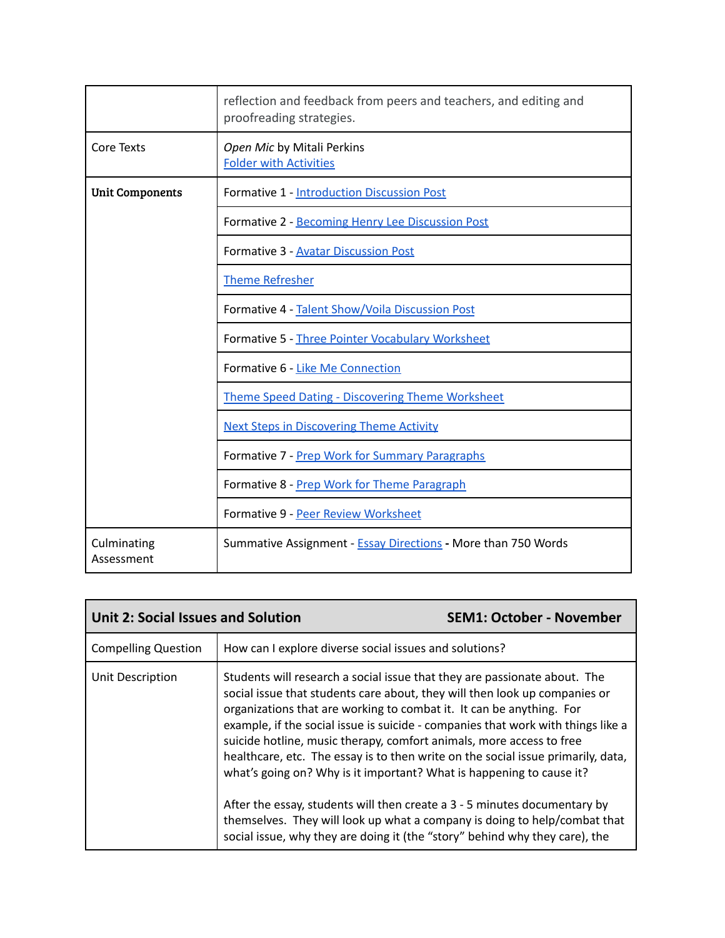|                           | reflection and feedback from peers and teachers, and editing and<br>proofreading strategies. |
|---------------------------|----------------------------------------------------------------------------------------------|
| <b>Core Texts</b>         | Open Mic by Mitali Perkins<br><b>Folder with Activities</b>                                  |
| <b>Unit Components</b>    | Formative 1 - Introduction Discussion Post                                                   |
|                           | Formative 2 - Becoming Henry Lee Discussion Post                                             |
|                           | Formative 3 - Avatar Discussion Post                                                         |
|                           | <b>Theme Refresher</b>                                                                       |
|                           | Formative 4 - Talent Show/Voila Discussion Post                                              |
|                           | Formative 5 - Three Pointer Vocabulary Worksheet                                             |
|                           | Formative 6 - Like Me Connection                                                             |
|                           | <b>Theme Speed Dating - Discovering Theme Worksheet</b>                                      |
|                           | <b>Next Steps in Discovering Theme Activity</b>                                              |
|                           | Formative 7 - Prep Work for Summary Paragraphs                                               |
|                           | Formative 8 - Prep Work for Theme Paragraph                                                  |
|                           | Formative 9 - Peer Review Worksheet                                                          |
| Culminating<br>Assessment | Summative Assignment - <b>Essay Directions</b> - More than 750 Words                         |

| <b>Unit 2: Social Issues and Solution</b> |                                                                                                                                                                                                                                                                                                                                                                                                                                                                                                                                                         | <b>SEM1: October - November</b> |
|-------------------------------------------|---------------------------------------------------------------------------------------------------------------------------------------------------------------------------------------------------------------------------------------------------------------------------------------------------------------------------------------------------------------------------------------------------------------------------------------------------------------------------------------------------------------------------------------------------------|---------------------------------|
| <b>Compelling Question</b>                | How can I explore diverse social issues and solutions?                                                                                                                                                                                                                                                                                                                                                                                                                                                                                                  |                                 |
| Unit Description                          | Students will research a social issue that they are passionate about. The<br>social issue that students care about, they will then look up companies or<br>organizations that are working to combat it. It can be anything. For<br>example, if the social issue is suicide - companies that work with things like a<br>suicide hotline, music therapy, comfort animals, more access to free<br>healthcare, etc. The essay is to then write on the social issue primarily, data,<br>what's going on? Why is it important? What is happening to cause it? |                                 |
|                                           | After the essay, students will then create a 3 - 5 minutes documentary by<br>themselves. They will look up what a company is doing to help/combat that<br>social issue, why they are doing it (the "story" behind why they care), the                                                                                                                                                                                                                                                                                                                   |                                 |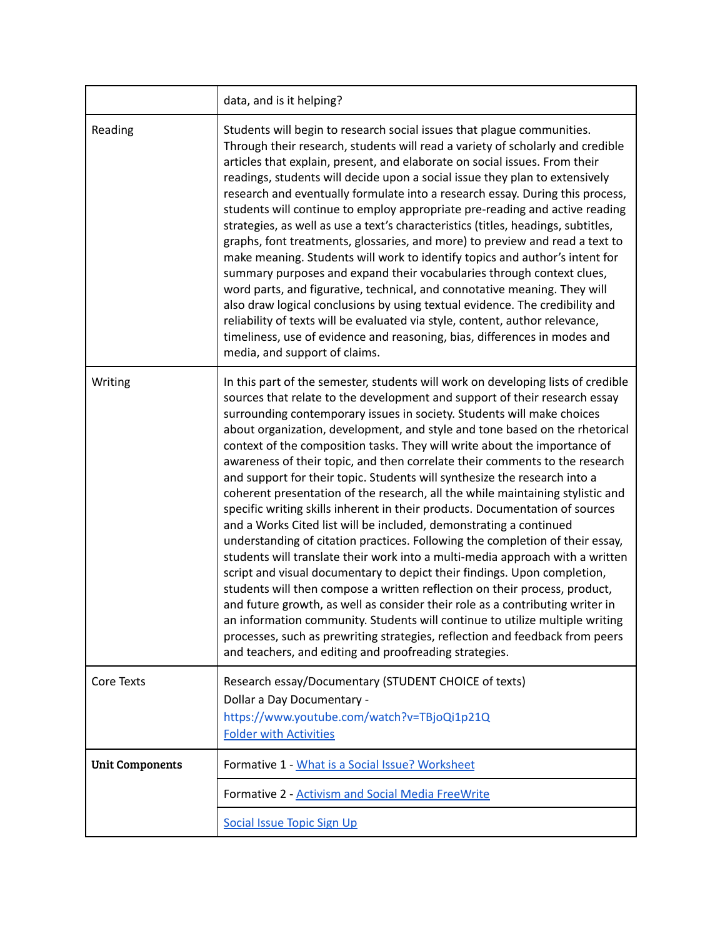|                        | data, and is it helping?                                                                                                                                                                                                                                                                                                                                                                                                                                                                                                                                                                                                                                                                                                                                                                                                                                                                                                                                                                                                                                                                                                                                                                                                                                                                                                                                                                                                                        |
|------------------------|-------------------------------------------------------------------------------------------------------------------------------------------------------------------------------------------------------------------------------------------------------------------------------------------------------------------------------------------------------------------------------------------------------------------------------------------------------------------------------------------------------------------------------------------------------------------------------------------------------------------------------------------------------------------------------------------------------------------------------------------------------------------------------------------------------------------------------------------------------------------------------------------------------------------------------------------------------------------------------------------------------------------------------------------------------------------------------------------------------------------------------------------------------------------------------------------------------------------------------------------------------------------------------------------------------------------------------------------------------------------------------------------------------------------------------------------------|
| Reading                | Students will begin to research social issues that plague communities.<br>Through their research, students will read a variety of scholarly and credible<br>articles that explain, present, and elaborate on social issues. From their<br>readings, students will decide upon a social issue they plan to extensively<br>research and eventually formulate into a research essay. During this process,<br>students will continue to employ appropriate pre-reading and active reading<br>strategies, as well as use a text's characteristics (titles, headings, subtitles,<br>graphs, font treatments, glossaries, and more) to preview and read a text to<br>make meaning. Students will work to identify topics and author's intent for<br>summary purposes and expand their vocabularies through context clues,<br>word parts, and figurative, technical, and connotative meaning. They will<br>also draw logical conclusions by using textual evidence. The credibility and<br>reliability of texts will be evaluated via style, content, author relevance,<br>timeliness, use of evidence and reasoning, bias, differences in modes and<br>media, and support of claims.                                                                                                                                                                                                                                                                   |
| Writing                | In this part of the semester, students will work on developing lists of credible<br>sources that relate to the development and support of their research essay<br>surrounding contemporary issues in society. Students will make choices<br>about organization, development, and style and tone based on the rhetorical<br>context of the composition tasks. They will write about the importance of<br>awareness of their topic, and then correlate their comments to the research<br>and support for their topic. Students will synthesize the research into a<br>coherent presentation of the research, all the while maintaining stylistic and<br>specific writing skills inherent in their products. Documentation of sources<br>and a Works Cited list will be included, demonstrating a continued<br>understanding of citation practices. Following the completion of their essay,<br>students will translate their work into a multi-media approach with a written<br>script and visual documentary to depict their findings. Upon completion,<br>students will then compose a written reflection on their process, product,<br>and future growth, as well as consider their role as a contributing writer in<br>an information community. Students will continue to utilize multiple writing<br>processes, such as prewriting strategies, reflection and feedback from peers<br>and teachers, and editing and proofreading strategies. |
| Core Texts             | Research essay/Documentary (STUDENT CHOICE of texts)<br>Dollar a Day Documentary -<br>https://www.youtube.com/watch?v=TBjoQi1p21Q<br><b>Folder with Activities</b>                                                                                                                                                                                                                                                                                                                                                                                                                                                                                                                                                                                                                                                                                                                                                                                                                                                                                                                                                                                                                                                                                                                                                                                                                                                                              |
| <b>Unit Components</b> | Formative 1 - What is a Social Issue? Worksheet                                                                                                                                                                                                                                                                                                                                                                                                                                                                                                                                                                                                                                                                                                                                                                                                                                                                                                                                                                                                                                                                                                                                                                                                                                                                                                                                                                                                 |
|                        | Formative 2 - Activism and Social Media FreeWrite                                                                                                                                                                                                                                                                                                                                                                                                                                                                                                                                                                                                                                                                                                                                                                                                                                                                                                                                                                                                                                                                                                                                                                                                                                                                                                                                                                                               |
|                        | Social Issue Topic Sign Up                                                                                                                                                                                                                                                                                                                                                                                                                                                                                                                                                                                                                                                                                                                                                                                                                                                                                                                                                                                                                                                                                                                                                                                                                                                                                                                                                                                                                      |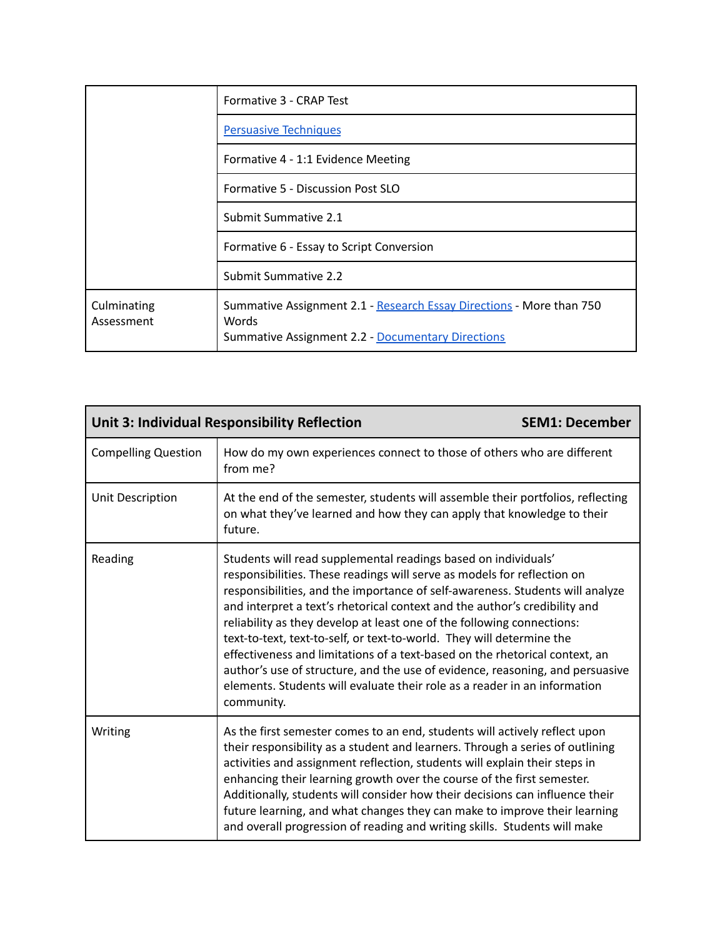|                           | Formative 3 - CRAP Test                                                                                                                   |
|---------------------------|-------------------------------------------------------------------------------------------------------------------------------------------|
|                           | <b>Persuasive Techniques</b>                                                                                                              |
|                           | Formative 4 - 1:1 Evidence Meeting                                                                                                        |
|                           | Formative 5 - Discussion Post SLO                                                                                                         |
|                           | Submit Summative 2.1                                                                                                                      |
|                           | Formative 6 - Essay to Script Conversion                                                                                                  |
|                           | Submit Summative 2.2                                                                                                                      |
| Culminating<br>Assessment | Summative Assignment 2.1 - Research Essay Directions - More than 750<br>Words<br><b>Summative Assignment 2.2 - Documentary Directions</b> |

| <b>Unit 3: Individual Responsibility Reflection</b> |                                                                                                                                                                                                                                                                                                                                                                                                                                                                                                                                                                                                                                                                                                                        | <b>SEM1: December</b> |
|-----------------------------------------------------|------------------------------------------------------------------------------------------------------------------------------------------------------------------------------------------------------------------------------------------------------------------------------------------------------------------------------------------------------------------------------------------------------------------------------------------------------------------------------------------------------------------------------------------------------------------------------------------------------------------------------------------------------------------------------------------------------------------------|-----------------------|
| <b>Compelling Question</b>                          | How do my own experiences connect to those of others who are different<br>from me?                                                                                                                                                                                                                                                                                                                                                                                                                                                                                                                                                                                                                                     |                       |
| Unit Description                                    | At the end of the semester, students will assemble their portfolios, reflecting<br>on what they've learned and how they can apply that knowledge to their<br>future.                                                                                                                                                                                                                                                                                                                                                                                                                                                                                                                                                   |                       |
| Reading                                             | Students will read supplemental readings based on individuals'<br>responsibilities. These readings will serve as models for reflection on<br>responsibilities, and the importance of self-awareness. Students will analyze<br>and interpret a text's rhetorical context and the author's credibility and<br>reliability as they develop at least one of the following connections:<br>text-to-text, text-to-self, or text-to-world. They will determine the<br>effectiveness and limitations of a text-based on the rhetorical context, an<br>author's use of structure, and the use of evidence, reasoning, and persuasive<br>elements. Students will evaluate their role as a reader in an information<br>community. |                       |
| Writing                                             | As the first semester comes to an end, students will actively reflect upon<br>their responsibility as a student and learners. Through a series of outlining<br>activities and assignment reflection, students will explain their steps in<br>enhancing their learning growth over the course of the first semester.<br>Additionally, students will consider how their decisions can influence their<br>future learning, and what changes they can make to improve their learning<br>and overall progression of reading and writing skills. Students will make                                                                                                                                                          |                       |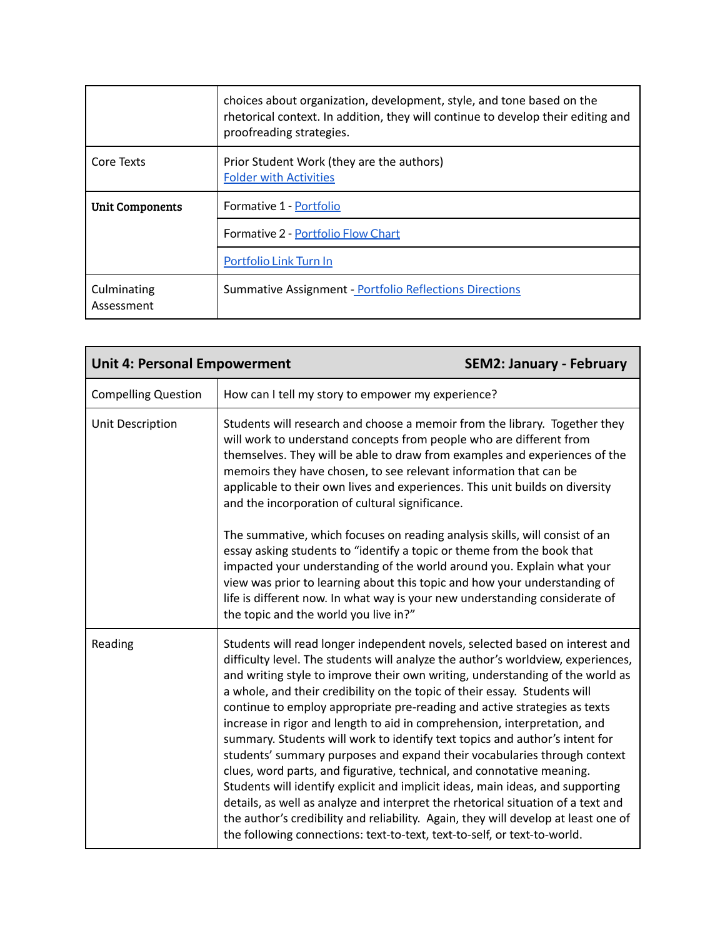|                           | choices about organization, development, style, and tone based on the<br>rhetorical context. In addition, they will continue to develop their editing and<br>proofreading strategies. |  |
|---------------------------|---------------------------------------------------------------------------------------------------------------------------------------------------------------------------------------|--|
| Core Texts                | Prior Student Work (they are the authors)<br><b>Folder with Activities</b>                                                                                                            |  |
| <b>Unit Components</b>    | Formative 1 - Portfolio                                                                                                                                                               |  |
|                           | <b>Formative 2 - Portfolio Flow Chart</b>                                                                                                                                             |  |
|                           | Portfolio Link Turn In                                                                                                                                                                |  |
| Culminating<br>Assessment | <b>Summative Assignment - Portfolio Reflections Directions</b>                                                                                                                        |  |

| <b>Unit 4: Personal Empowerment</b> |                                                                                                                                                                                                                                                                                                                                                                                                                                                                                                                                                                                                                                                                                                                                                                                                                                                                                                                                                                                                                                                                       | <b>SEM2: January - February</b> |
|-------------------------------------|-----------------------------------------------------------------------------------------------------------------------------------------------------------------------------------------------------------------------------------------------------------------------------------------------------------------------------------------------------------------------------------------------------------------------------------------------------------------------------------------------------------------------------------------------------------------------------------------------------------------------------------------------------------------------------------------------------------------------------------------------------------------------------------------------------------------------------------------------------------------------------------------------------------------------------------------------------------------------------------------------------------------------------------------------------------------------|---------------------------------|
| <b>Compelling Question</b>          | How can I tell my story to empower my experience?                                                                                                                                                                                                                                                                                                                                                                                                                                                                                                                                                                                                                                                                                                                                                                                                                                                                                                                                                                                                                     |                                 |
| Unit Description                    | Students will research and choose a memoir from the library. Together they<br>will work to understand concepts from people who are different from<br>themselves. They will be able to draw from examples and experiences of the<br>memoirs they have chosen, to see relevant information that can be<br>applicable to their own lives and experiences. This unit builds on diversity<br>and the incorporation of cultural significance.                                                                                                                                                                                                                                                                                                                                                                                                                                                                                                                                                                                                                               |                                 |
|                                     | The summative, which focuses on reading analysis skills, will consist of an<br>essay asking students to "identify a topic or theme from the book that<br>impacted your understanding of the world around you. Explain what your<br>view was prior to learning about this topic and how your understanding of<br>life is different now. In what way is your new understanding considerate of<br>the topic and the world you live in?"                                                                                                                                                                                                                                                                                                                                                                                                                                                                                                                                                                                                                                  |                                 |
| Reading                             | Students will read longer independent novels, selected based on interest and<br>difficulty level. The students will analyze the author's worldview, experiences,<br>and writing style to improve their own writing, understanding of the world as<br>a whole, and their credibility on the topic of their essay. Students will<br>continue to employ appropriate pre-reading and active strategies as texts<br>increase in rigor and length to aid in comprehension, interpretation, and<br>summary. Students will work to identify text topics and author's intent for<br>students' summary purposes and expand their vocabularies through context<br>clues, word parts, and figurative, technical, and connotative meaning.<br>Students will identify explicit and implicit ideas, main ideas, and supporting<br>details, as well as analyze and interpret the rhetorical situation of a text and<br>the author's credibility and reliability. Again, they will develop at least one of<br>the following connections: text-to-text, text-to-self, or text-to-world. |                                 |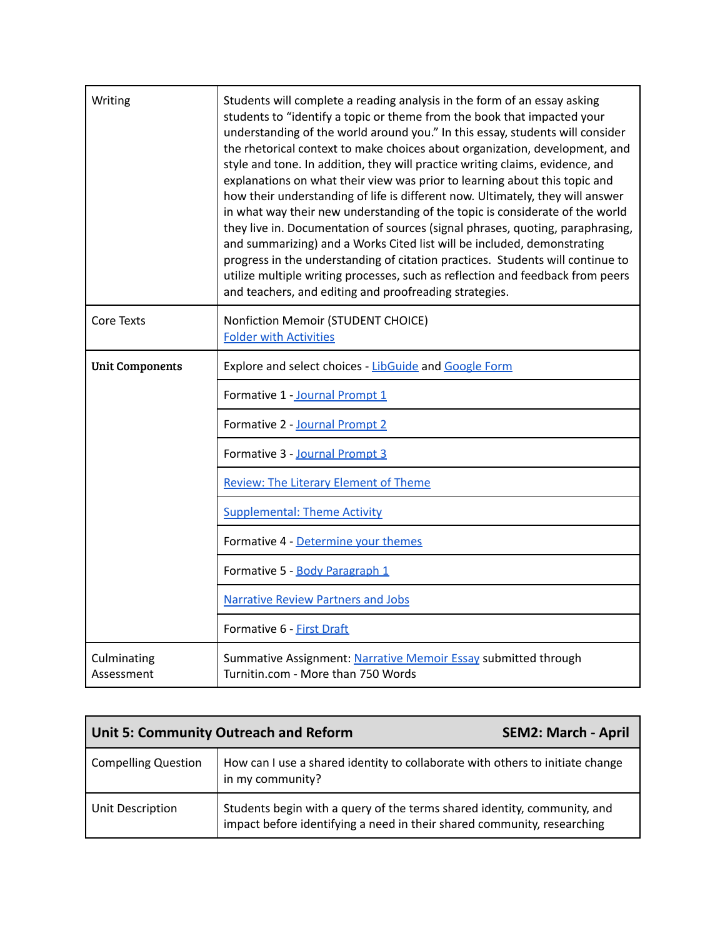| Writing                   | Students will complete a reading analysis in the form of an essay asking<br>students to "identify a topic or theme from the book that impacted your<br>understanding of the world around you." In this essay, students will consider<br>the rhetorical context to make choices about organization, development, and<br>style and tone. In addition, they will practice writing claims, evidence, and<br>explanations on what their view was prior to learning about this topic and<br>how their understanding of life is different now. Ultimately, they will answer<br>in what way their new understanding of the topic is considerate of the world<br>they live in. Documentation of sources (signal phrases, quoting, paraphrasing,<br>and summarizing) and a Works Cited list will be included, demonstrating<br>progress in the understanding of citation practices. Students will continue to<br>utilize multiple writing processes, such as reflection and feedback from peers<br>and teachers, and editing and proofreading strategies. |
|---------------------------|-------------------------------------------------------------------------------------------------------------------------------------------------------------------------------------------------------------------------------------------------------------------------------------------------------------------------------------------------------------------------------------------------------------------------------------------------------------------------------------------------------------------------------------------------------------------------------------------------------------------------------------------------------------------------------------------------------------------------------------------------------------------------------------------------------------------------------------------------------------------------------------------------------------------------------------------------------------------------------------------------------------------------------------------------|
| <b>Core Texts</b>         | Nonfiction Memoir (STUDENT CHOICE)<br><b>Folder with Activities</b>                                                                                                                                                                                                                                                                                                                                                                                                                                                                                                                                                                                                                                                                                                                                                                                                                                                                                                                                                                             |
| <b>Unit Components</b>    | Explore and select choices - LibGuide and Google Form                                                                                                                                                                                                                                                                                                                                                                                                                                                                                                                                                                                                                                                                                                                                                                                                                                                                                                                                                                                           |
|                           | Formative 1 - Journal Prompt 1                                                                                                                                                                                                                                                                                                                                                                                                                                                                                                                                                                                                                                                                                                                                                                                                                                                                                                                                                                                                                  |
|                           | Formative 2 - Journal Prompt 2                                                                                                                                                                                                                                                                                                                                                                                                                                                                                                                                                                                                                                                                                                                                                                                                                                                                                                                                                                                                                  |
|                           | Formative 3 - Journal Prompt 3                                                                                                                                                                                                                                                                                                                                                                                                                                                                                                                                                                                                                                                                                                                                                                                                                                                                                                                                                                                                                  |
|                           | <b>Review: The Literary Element of Theme</b>                                                                                                                                                                                                                                                                                                                                                                                                                                                                                                                                                                                                                                                                                                                                                                                                                                                                                                                                                                                                    |
|                           | <b>Supplemental: Theme Activity</b>                                                                                                                                                                                                                                                                                                                                                                                                                                                                                                                                                                                                                                                                                                                                                                                                                                                                                                                                                                                                             |
|                           | Formative 4 - Determine your themes                                                                                                                                                                                                                                                                                                                                                                                                                                                                                                                                                                                                                                                                                                                                                                                                                                                                                                                                                                                                             |
|                           | Formative 5 - Body Paragraph 1                                                                                                                                                                                                                                                                                                                                                                                                                                                                                                                                                                                                                                                                                                                                                                                                                                                                                                                                                                                                                  |
|                           | <b>Narrative Review Partners and Jobs</b>                                                                                                                                                                                                                                                                                                                                                                                                                                                                                                                                                                                                                                                                                                                                                                                                                                                                                                                                                                                                       |
|                           | Formative 6 - First Draft                                                                                                                                                                                                                                                                                                                                                                                                                                                                                                                                                                                                                                                                                                                                                                                                                                                                                                                                                                                                                       |
| Culminating<br>Assessment | Summative Assignment: Narrative Memoir Essay submitted through<br>Turnitin.com - More than 750 Words                                                                                                                                                                                                                                                                                                                                                                                                                                                                                                                                                                                                                                                                                                                                                                                                                                                                                                                                            |

| <b>Unit 5: Community Outreach and Reform</b> |                                                                                                                                                     | <b>SEM2: March - April</b> |
|----------------------------------------------|-----------------------------------------------------------------------------------------------------------------------------------------------------|----------------------------|
| <b>Compelling Question</b>                   | How can I use a shared identity to collaborate with others to initiate change<br>in my community?                                                   |                            |
| Unit Description                             | Students begin with a query of the terms shared identity, community, and<br>impact before identifying a need in their shared community, researching |                            |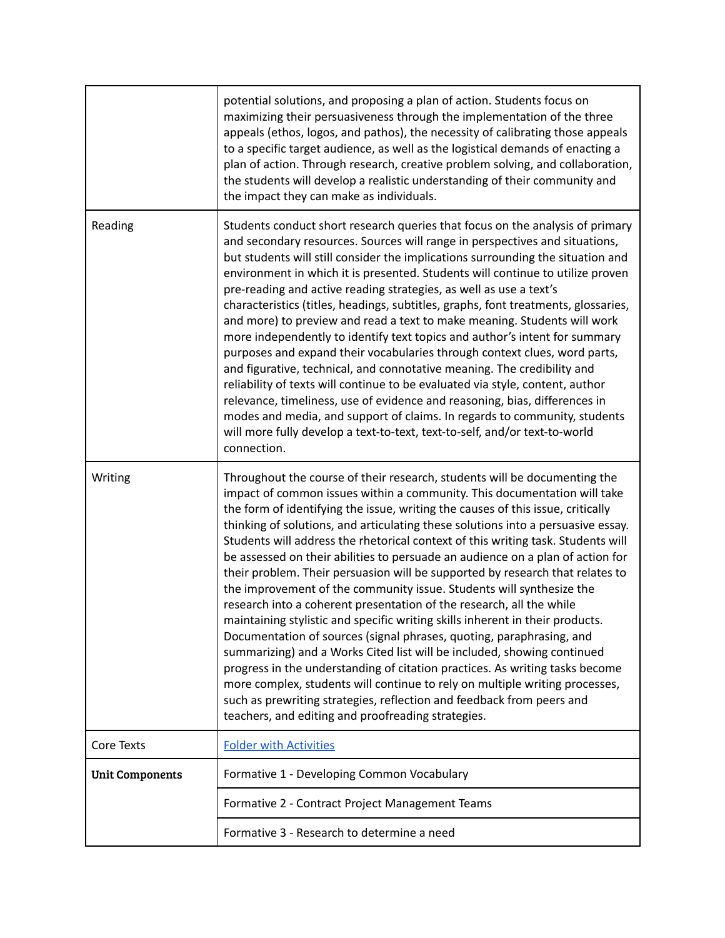|                        | potential solutions, and proposing a plan of action. Students focus on<br>maximizing their persuasiveness through the implementation of the three<br>appeals (ethos, logos, and pathos), the necessity of calibrating those appeals<br>to a specific target audience, as well as the logistical demands of enacting a<br>plan of action. Through research, creative problem solving, and collaboration,<br>the students will develop a realistic understanding of their community and<br>the impact they can make as individuals.                                                                                                                                                                                                                                                                                                                                                                                                                                                                                                                                                                                                                                                                                                                                     |
|------------------------|-----------------------------------------------------------------------------------------------------------------------------------------------------------------------------------------------------------------------------------------------------------------------------------------------------------------------------------------------------------------------------------------------------------------------------------------------------------------------------------------------------------------------------------------------------------------------------------------------------------------------------------------------------------------------------------------------------------------------------------------------------------------------------------------------------------------------------------------------------------------------------------------------------------------------------------------------------------------------------------------------------------------------------------------------------------------------------------------------------------------------------------------------------------------------------------------------------------------------------------------------------------------------|
| Reading                | Students conduct short research queries that focus on the analysis of primary<br>and secondary resources. Sources will range in perspectives and situations,<br>but students will still consider the implications surrounding the situation and<br>environment in which it is presented. Students will continue to utilize proven<br>pre-reading and active reading strategies, as well as use a text's<br>characteristics (titles, headings, subtitles, graphs, font treatments, glossaries,<br>and more) to preview and read a text to make meaning. Students will work<br>more independently to identify text topics and author's intent for summary<br>purposes and expand their vocabularies through context clues, word parts,<br>and figurative, technical, and connotative meaning. The credibility and<br>reliability of texts will continue to be evaluated via style, content, author<br>relevance, timeliness, use of evidence and reasoning, bias, differences in<br>modes and media, and support of claims. In regards to community, students<br>will more fully develop a text-to-text, text-to-self, and/or text-to-world<br>connection.                                                                                                              |
| Writing                | Throughout the course of their research, students will be documenting the<br>impact of common issues within a community. This documentation will take<br>the form of identifying the issue, writing the causes of this issue, critically<br>thinking of solutions, and articulating these solutions into a persuasive essay.<br>Students will address the rhetorical context of this writing task. Students will<br>be assessed on their abilities to persuade an audience on a plan of action for<br>their problem. Their persuasion will be supported by research that relates to<br>the improvement of the community issue. Students will synthesize the<br>research into a coherent presentation of the research, all the while<br>maintaining stylistic and specific writing skills inherent in their products.<br>Documentation of sources (signal phrases, quoting, paraphrasing, and<br>summarizing) and a Works Cited list will be included, showing continued<br>progress in the understanding of citation practices. As writing tasks become<br>more complex, students will continue to rely on multiple writing processes,<br>such as prewriting strategies, reflection and feedback from peers and<br>teachers, and editing and proofreading strategies. |
| Core Texts             | <b>Folder with Activities</b>                                                                                                                                                                                                                                                                                                                                                                                                                                                                                                                                                                                                                                                                                                                                                                                                                                                                                                                                                                                                                                                                                                                                                                                                                                         |
| <b>Unit Components</b> | Formative 1 - Developing Common Vocabulary                                                                                                                                                                                                                                                                                                                                                                                                                                                                                                                                                                                                                                                                                                                                                                                                                                                                                                                                                                                                                                                                                                                                                                                                                            |
|                        | Formative 2 - Contract Project Management Teams                                                                                                                                                                                                                                                                                                                                                                                                                                                                                                                                                                                                                                                                                                                                                                                                                                                                                                                                                                                                                                                                                                                                                                                                                       |
|                        | Formative 3 - Research to determine a need                                                                                                                                                                                                                                                                                                                                                                                                                                                                                                                                                                                                                                                                                                                                                                                                                                                                                                                                                                                                                                                                                                                                                                                                                            |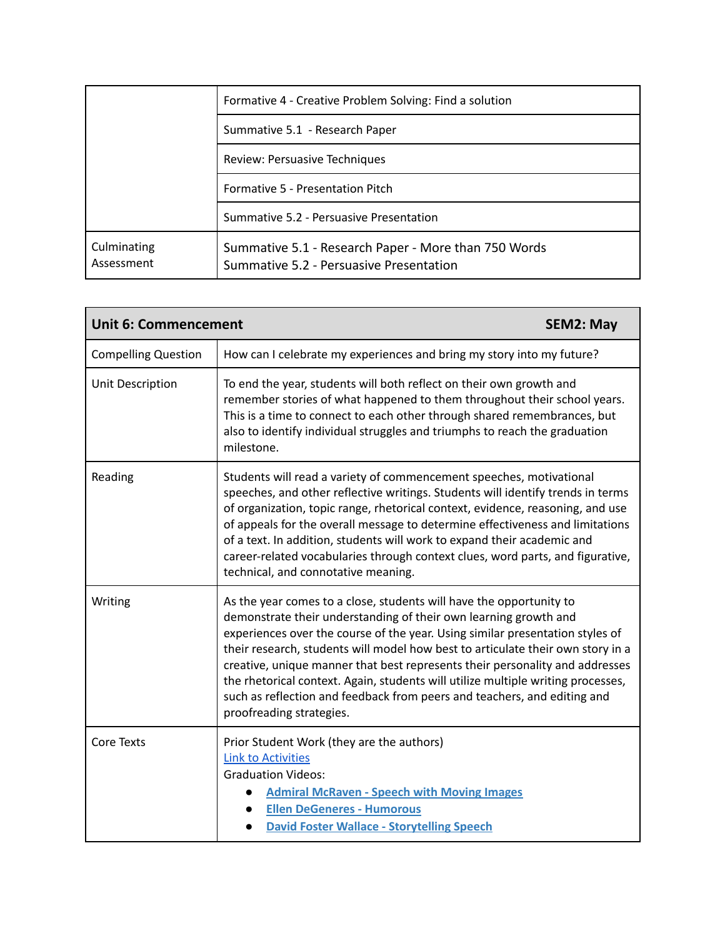|                           | Formative 4 - Creative Problem Solving: Find a solution                                         |
|---------------------------|-------------------------------------------------------------------------------------------------|
|                           | Summative 5.1 - Research Paper                                                                  |
|                           | Review: Persuasive Techniques                                                                   |
|                           | Formative 5 - Presentation Pitch                                                                |
|                           | Summative 5.2 - Persuasive Presentation                                                         |
| Culminating<br>Assessment | Summative 5.1 - Research Paper - More than 750 Words<br>Summative 5.2 - Persuasive Presentation |

| <b>Unit 6: Commencement</b><br><b>SEM2: May</b> |                                                                                                                                                                                                                                                                                                                                                                                                                                                                                                                                                                                         |  |
|-------------------------------------------------|-----------------------------------------------------------------------------------------------------------------------------------------------------------------------------------------------------------------------------------------------------------------------------------------------------------------------------------------------------------------------------------------------------------------------------------------------------------------------------------------------------------------------------------------------------------------------------------------|--|
| <b>Compelling Question</b>                      | How can I celebrate my experiences and bring my story into my future?                                                                                                                                                                                                                                                                                                                                                                                                                                                                                                                   |  |
| Unit Description                                | To end the year, students will both reflect on their own growth and<br>remember stories of what happened to them throughout their school years.<br>This is a time to connect to each other through shared remembrances, but<br>also to identify individual struggles and triumphs to reach the graduation<br>milestone.                                                                                                                                                                                                                                                                 |  |
| Reading                                         | Students will read a variety of commencement speeches, motivational<br>speeches, and other reflective writings. Students will identify trends in terms<br>of organization, topic range, rhetorical context, evidence, reasoning, and use<br>of appeals for the overall message to determine effectiveness and limitations<br>of a text. In addition, students will work to expand their academic and<br>career-related vocabularies through context clues, word parts, and figurative,<br>technical, and connotative meaning.                                                           |  |
| Writing                                         | As the year comes to a close, students will have the opportunity to<br>demonstrate their understanding of their own learning growth and<br>experiences over the course of the year. Using similar presentation styles of<br>their research, students will model how best to articulate their own story in a<br>creative, unique manner that best represents their personality and addresses<br>the rhetorical context. Again, students will utilize multiple writing processes,<br>such as reflection and feedback from peers and teachers, and editing and<br>proofreading strategies. |  |
| Core Texts                                      | Prior Student Work (they are the authors)<br><b>Link to Activities</b><br><b>Graduation Videos:</b><br><b>Admiral McRaven - Speech with Moving Images</b><br><b>Ellen DeGeneres - Humorous</b><br><b>David Foster Wallace - Storytelling Speech</b>                                                                                                                                                                                                                                                                                                                                     |  |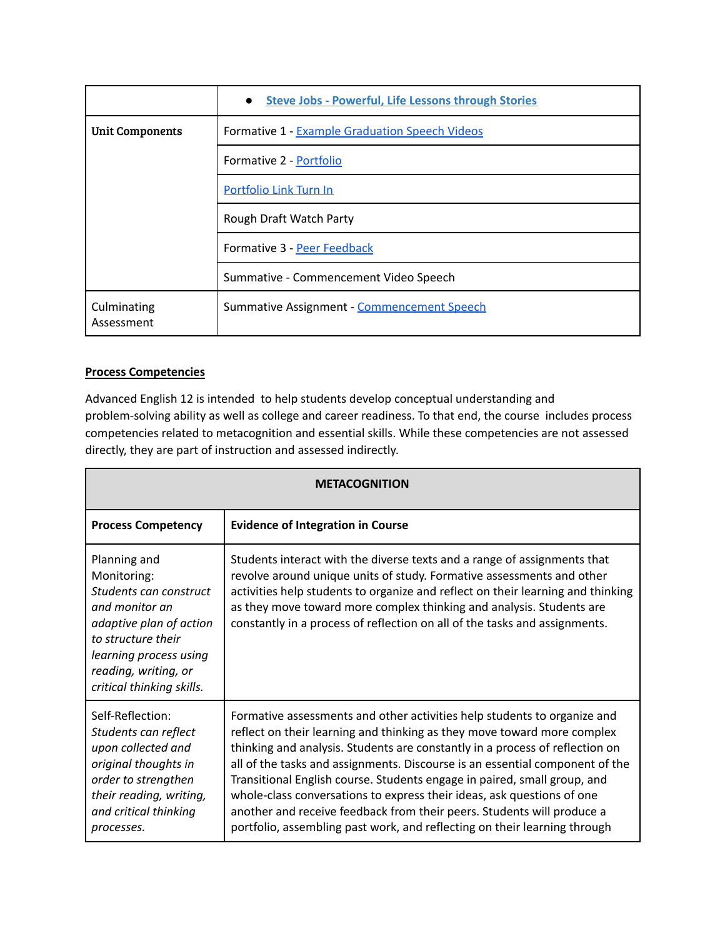|                           | <b>Steve Jobs - Powerful, Life Lessons through Stories</b> |  |
|---------------------------|------------------------------------------------------------|--|
| <b>Unit Components</b>    | Formative 1 - Example Graduation Speech Videos             |  |
|                           | Formative 2 - Portfolio                                    |  |
|                           | Portfolio Link Turn In                                     |  |
|                           | Rough Draft Watch Party                                    |  |
|                           | Formative 3 - Peer Feedback                                |  |
|                           | Summative - Commencement Video Speech                      |  |
| Culminating<br>Assessment | Summative Assignment - Commencement Speech                 |  |

## **Process Competencies**

Advanced English 12 is intended to help students develop conceptual understanding and problem-solving ability as well as college and career readiness. To that end, the course includes process competencies related to metacognition and essential skills. While these competencies are not assessed directly, they are part of instruction and assessed indirectly.

| <b>METACOGNITION</b>                                                                                                                                                                                    |                                                                                                                                                                                                                                                                                                                                                                                                                                                                                                                                                                                                                                  |  |
|---------------------------------------------------------------------------------------------------------------------------------------------------------------------------------------------------------|----------------------------------------------------------------------------------------------------------------------------------------------------------------------------------------------------------------------------------------------------------------------------------------------------------------------------------------------------------------------------------------------------------------------------------------------------------------------------------------------------------------------------------------------------------------------------------------------------------------------------------|--|
| <b>Process Competency</b>                                                                                                                                                                               | <b>Evidence of Integration in Course</b>                                                                                                                                                                                                                                                                                                                                                                                                                                                                                                                                                                                         |  |
| Planning and<br>Monitoring:<br>Students can construct<br>and monitor an<br>adaptive plan of action<br>to structure their<br>learning process using<br>reading, writing, or<br>critical thinking skills. | Students interact with the diverse texts and a range of assignments that<br>revolve around unique units of study. Formative assessments and other<br>activities help students to organize and reflect on their learning and thinking<br>as they move toward more complex thinking and analysis. Students are<br>constantly in a process of reflection on all of the tasks and assignments.                                                                                                                                                                                                                                       |  |
| Self-Reflection:<br>Students can reflect<br>upon collected and<br>original thoughts in<br>order to strengthen<br>their reading, writing,<br>and critical thinking<br>processes.                         | Formative assessments and other activities help students to organize and<br>reflect on their learning and thinking as they move toward more complex<br>thinking and analysis. Students are constantly in a process of reflection on<br>all of the tasks and assignments. Discourse is an essential component of the<br>Transitional English course. Students engage in paired, small group, and<br>whole-class conversations to express their ideas, ask questions of one<br>another and receive feedback from their peers. Students will produce a<br>portfolio, assembling past work, and reflecting on their learning through |  |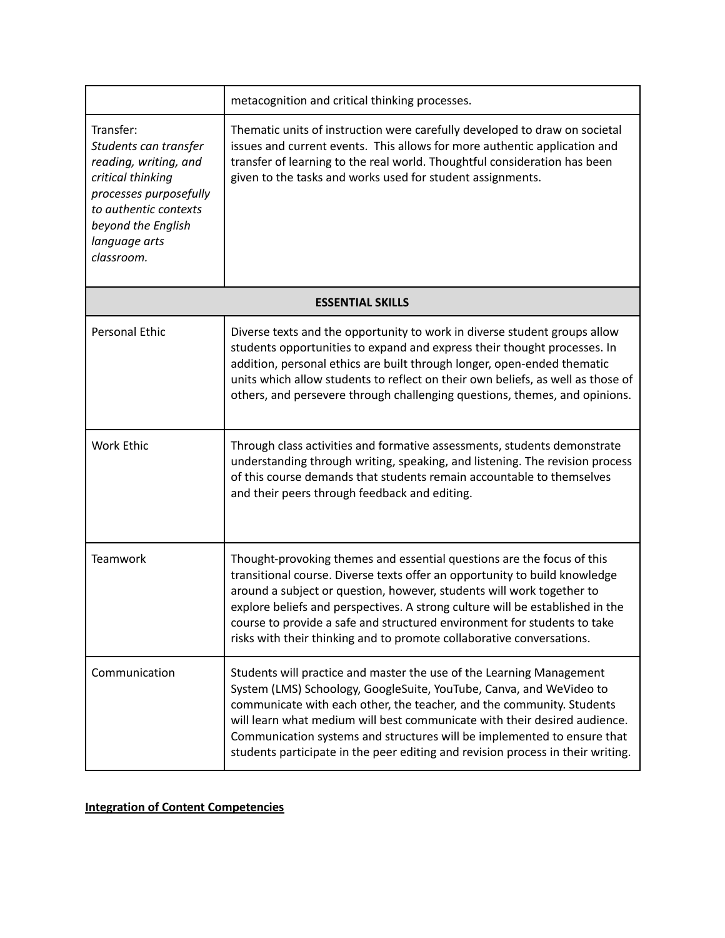|                                                                                                                                                                                          | metacognition and critical thinking processes.                                                                                                                                                                                                                                                                                                                                                                                                                      |  |
|------------------------------------------------------------------------------------------------------------------------------------------------------------------------------------------|---------------------------------------------------------------------------------------------------------------------------------------------------------------------------------------------------------------------------------------------------------------------------------------------------------------------------------------------------------------------------------------------------------------------------------------------------------------------|--|
| Transfer:<br>Students can transfer<br>reading, writing, and<br>critical thinking<br>processes purposefully<br>to authentic contexts<br>beyond the English<br>language arts<br>classroom. | Thematic units of instruction were carefully developed to draw on societal<br>issues and current events. This allows for more authentic application and<br>transfer of learning to the real world. Thoughtful consideration has been<br>given to the tasks and works used for student assignments.                                                                                                                                                                  |  |
| <b>ESSENTIAL SKILLS</b>                                                                                                                                                                  |                                                                                                                                                                                                                                                                                                                                                                                                                                                                     |  |
| <b>Personal Ethic</b>                                                                                                                                                                    | Diverse texts and the opportunity to work in diverse student groups allow<br>students opportunities to expand and express their thought processes. In<br>addition, personal ethics are built through longer, open-ended thematic<br>units which allow students to reflect on their own beliefs, as well as those of<br>others, and persevere through challenging questions, themes, and opinions.                                                                   |  |
| <b>Work Ethic</b>                                                                                                                                                                        | Through class activities and formative assessments, students demonstrate<br>understanding through writing, speaking, and listening. The revision process<br>of this course demands that students remain accountable to themselves<br>and their peers through feedback and editing.                                                                                                                                                                                  |  |
| <b>Teamwork</b>                                                                                                                                                                          | Thought-provoking themes and essential questions are the focus of this<br>transitional course. Diverse texts offer an opportunity to build knowledge<br>around a subject or question, however, students will work together to<br>explore beliefs and perspectives. A strong culture will be established in the<br>course to provide a safe and structured environment for students to take<br>risks with their thinking and to promote collaborative conversations. |  |
| Communication                                                                                                                                                                            | Students will practice and master the use of the Learning Management<br>System (LMS) Schoology, GoogleSuite, YouTube, Canva, and WeVideo to<br>communicate with each other, the teacher, and the community. Students<br>will learn what medium will best communicate with their desired audience.<br>Communication systems and structures will be implemented to ensure that<br>students participate in the peer editing and revision process in their writing.     |  |

# **Integration of Content Competencies**